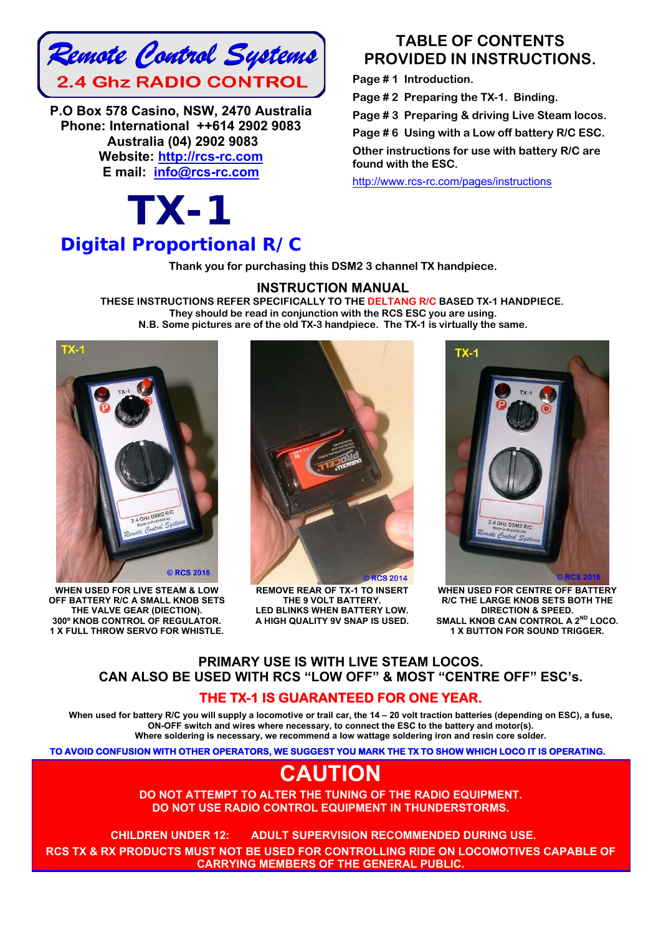

**P.O Box 578 Casino, NSW, 2470 Australia Phone: International ++614 2902 9083 Australia (04) 2902 9083 Website: http://rcs-rc.com E mail: info@rcs-rc.com**

## *TX-1 Digital Proportional R/C*

### **TABLE OF CONTENTS PROVIDED IN INSTRUCTIONS.**

**Page # 1 Introduction.** 

**Page # 2 Preparing the TX-1. Binding.** 

**Page # 3 Preparing & driving Live Steam locos.** 

**Page # 6 Using with a Low off battery R/C ESC.** 

**Other instructions for use with battery R/C are found with the ESC.**

http://www.rcs-rc.com/pages/instructions

**Thank you for purchasing this DSM2 3 channel TX handpiece.** 

#### **INSTRUCTION MANUAL**

**THESE INSTRUCTIONS REFER SPECIFICALLY TO THE DELTANG R/C BASED TX-1 HANDPIECE. They should be read in conjunction with the RCS ESC you are using. N.B. Some pictures are of the old TX-3 handpiece. The TX-1 is virtually the same.** 



**WHEN USED FOR LIVE STEAM & LOW OFF BATTERY R/C A SMALL KNOB SETS THE VALVE GEAR (DIECTION). 300º KNOB CONTROL OF REGULATOR. 1 X FULL THROW SERVO FOR WHISTLE.** 



**REMOVE REAR OF TX-1 TO INSERT THE 9 VOLT BATTERY. LED BLINKS WHEN BATTERY LOW. A HIGH QUALITY 9V SNAP IS USED.**



**WHEN USED FOR CENTRE OFF BATTERY R/C THE LARGE KNOB SETS BOTH THE DIRECTION & SPEED. SMALL KNOB CAN CONTROL A 2ND LOCO. 1 X BUTTON FOR SOUND TRIGGER.** 

#### **PRIMARY USE IS WITH LIVE STEAM LOCOS. CAN ALSO BE USED WITH RCS "LOW OFF" & MOST "CENTRE OFF" ESC's.**

#### **THE TX-1 IS GUARANTEED FOR ONE YEAR.**

**When used for battery R/C you will supply a locomotive or trail car, the 14 – 20 volt traction batteries (depending on ESC), a fuse, ON-OFF switch and wires where necessary, to connect the ESC to the battery and motor(s). Where soldering is necessary, we recommend a low wattage soldering iron and resin core solder.** 

**TO AVOID CONFUSION WITH OTHER OPERATORS, WE SUGGEST YOU MARK THE TX TO SHOW WHICH LOCO IT IS OPERATING.** 

## **CAUTION**

**DO NOT ATTEMPT TO ALTER THE TUNING OF THE RADIO EQUIPMENT. DO NOT USE RADIO CONTROL EQUIPMENT IN THUNDERSTORMS.** 

**CHILDREN UNDER 12: ADULT SUPERVISION RECOMMENDED DURING USE.**!! **RCS TX & RX PRODUCTS MUST NOT BE USED FOR CONTROLLING RIDE ON LOCOMOTIVES CAPABLE OF CARRYING MEMBERS OF THE GENERAL PUBLIC.**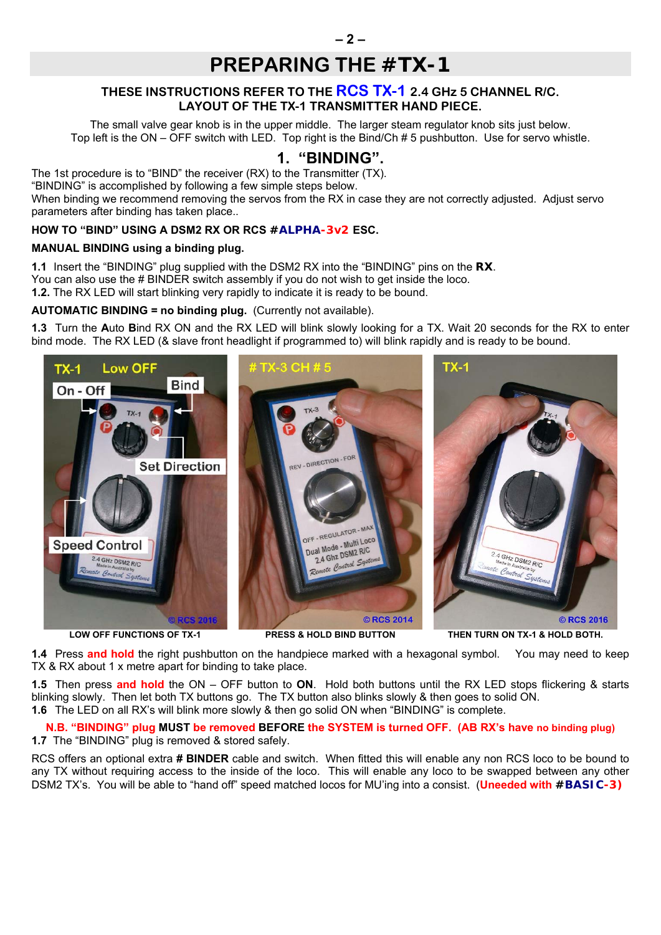## **PREPARING THE** *#TX-1*

#### **THESE INSTRUCTIONS REFER TO THE RCS TX-1 2.4 GHz 5 CHANNEL R/C. LAYOUT OF THE TX-1 TRANSMITTER HAND PIECE.**

The small valve gear knob is in the upper middle. The larger steam regulator knob sits just below. Top left is the ON – OFF switch with LED. Top right is the Bind/Ch # 5 pushbutton. Use for servo whistle.

### **1. "BINDING".**

The 1st procedure is to "BIND" the receiver (RX) to the Transmitter (TX).

"BINDING" is accomplished by following a few simple steps below.

When binding we recommend removing the servos from the RX in case they are not correctly adjusted. Adjust servo parameters after binding has taken place..

#### **HOW TO "BIND" USING A DSM2 RX OR RCS** *#ALPHA-3v2* **ESC.**

#### **MANUAL BINDING using a binding plug.**

**1.1** Insert the "BINDING" plug supplied with the DSM2 RX into the "BINDING" pins on the *RX*. You can also use the # BINDER switch assembly if you do not wish to get inside the loco. **1.2.** The RX LED will start blinking very rapidly to indicate it is ready to be bound.

#### **AUTOMATIC BINDING = no binding plug.** (Currently not available).

**1.3** Turn the **A**uto **B**ind RX ON and the RX LED will blink slowly looking for a TX. Wait 20 seconds for the RX to enter bind mode. The RX LED (& slave front headlight if programmed to) will blink rapidly and is ready to be bound.



**1.4** Press **and hold** the right pushbutton on the handpiece marked with a hexagonal symbol. You may need to keep TX & RX about 1 x metre apart for binding to take place.

**1.5** Then press **and hold** the ON – OFF button to **ON**. Hold both buttons until the RX LED stops flickering & starts blinking slowly. Then let both TX buttons go. The TX button also blinks slowly & then goes to solid ON. **1.6** The LED on all RX's will blink more slowly & then go solid ON when "BINDING" is complete.

**N.B. "BINDING" plug MUST be removed BEFORE the SYSTEM is turned OFF. (AB RX's have no binding plug) 1.7** The "BINDING" plug is removed & stored safely.

RCS offers an optional extra **# BINDER** cable and switch. When fitted this will enable any non RCS loco to be bound to any TX without requiring access to the inside of the loco. This will enable any loco to be swapped between any other DSM2 TX's. You will be able to "hand off" speed matched locos for MU'ing into a consist. (**Uneeded with** *#BASIC-3)*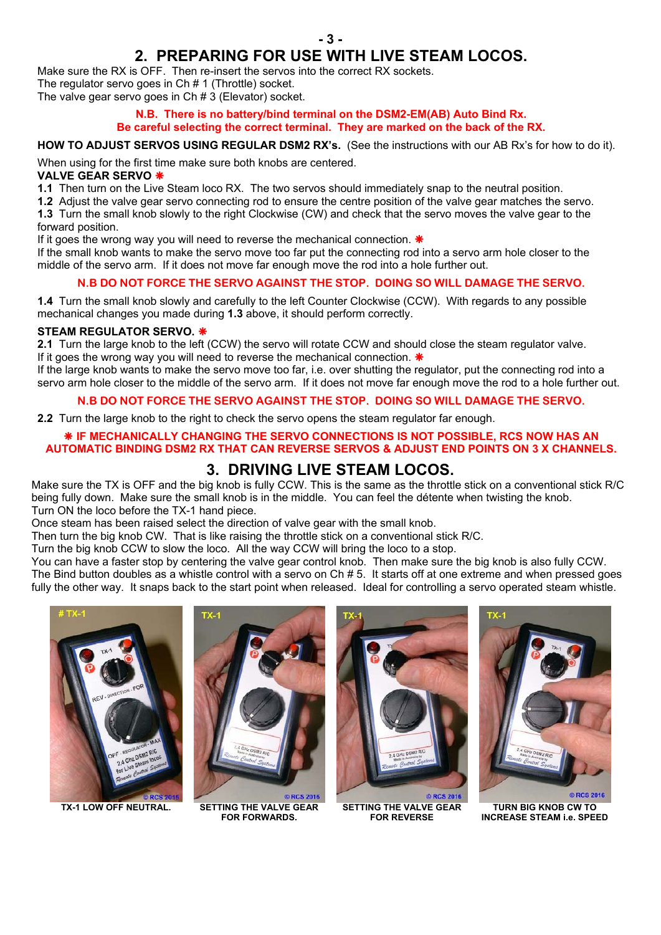## **2. PREPARING FOR USE WITH LIVE STEAM LOCOS.**

Make sure the RX is OFF. Then re-insert the servos into the correct RX sockets.

The regulator servo goes in Ch # 1 (Throttle) socket. The valve gear servo goes in Ch # 3 (Elevator) socket.

#### **N.B. There is no battery/bind terminal on the DSM2-EM(AB) Auto Bind Rx. Be careful selecting the correct terminal. They are marked on the back of the RX.**

#### **HOW TO ADJUST SERVOS USING REGULAR DSM2 RX's.** (See the instructions with our AB Rx's for how to do it).

When using for the first time make sure both knobs are centered.

#### **VALVE GEAR SERVO**

**1.1** Then turn on the Live Steam loco RX. The two servos should immediately snap to the neutral position.

**1.2** Adjust the valve gear servo connecting rod to ensure the centre position of the valve gear matches the servo.

**1.3** Turn the small knob slowly to the right Clockwise (CW) and check that the servo moves the valve gear to the forward position.

If it goes the wrong way you will need to reverse the mechanical connection.  $*$ 

If the small knob wants to make the servo move too far put the connecting rod into a servo arm hole closer to the middle of the servo arm. If it does not move far enough move the rod into a hole further out.

#### **N.B DO NOT FORCE THE SERVO AGAINST THE STOP. DOING SO WILL DAMAGE THE SERVO.**

**1.4** Turn the small knob slowly and carefully to the left Counter Clockwise (CCW). With regards to any possible mechanical changes you made during **1.3** above, it should perform correctly.

#### **STEAM REGULATOR SERVO.**

**2.1** Turn the large knob to the left (CCW) the servo will rotate CCW and should close the steam regulator valve. If it goes the wrong way you will need to reverse the mechanical connection.  $*$ 

If the large knob wants to make the servo move too far, i.e. over shutting the regulator, put the connecting rod into a servo arm hole closer to the middle of the servo arm. If it does not move far enough move the rod to a hole further out.

#### **N.B DO NOT FORCE THE SERVO AGAINST THE STOP. DOING SO WILL DAMAGE THE SERVO.**

**2.2** Turn the large knob to the right to check the servo opens the steam regulator far enough.

#### **IF MECHANICALLY CHANGING THE SERVO CONNECTIONS IS NOT POSSIBLE, RCS NOW HAS AN AUTOMATIC BINDING DSM2 RX THAT CAN REVERSE SERVOS & ADJUST END POINTS ON 3 X CHANNELS.**

### **3. DRIVING LIVE STEAM LOCOS.**

Make sure the TX is OFF and the big knob is fully CCW. This is the same as the throttle stick on a conventional stick R/C being fully down. Make sure the small knob is in the middle. You can feel the détente when twisting the knob. Turn ON the loco before the TX-1 hand piece.

Once steam has been raised select the direction of valve gear with the small knob.

Then turn the big knob CW. That is like raising the throttle stick on a conventional stick R/C.

Turn the big knob CCW to slow the loco. All the way CCW will bring the loco to a stop.

You can have a faster stop by centering the valve gear control knob. Then make sure the big knob is also fully CCW. The Bind button doubles as a whistle control with a servo on Ch # 5. It starts off at one extreme and when pressed goes fully the other way. It snaps back to the start point when released. Ideal for controlling a servo operated steam whistle.





**TX-1 LOW OFF NEUTRAL. SETTING THE VALVE GEAR FOR FORWARDS.** 



**SETTING THE VALVE GEAR FOR REVERSE** 



**TURN BIG KNOB CW TO INCREASE STEAM i.e. SPEED**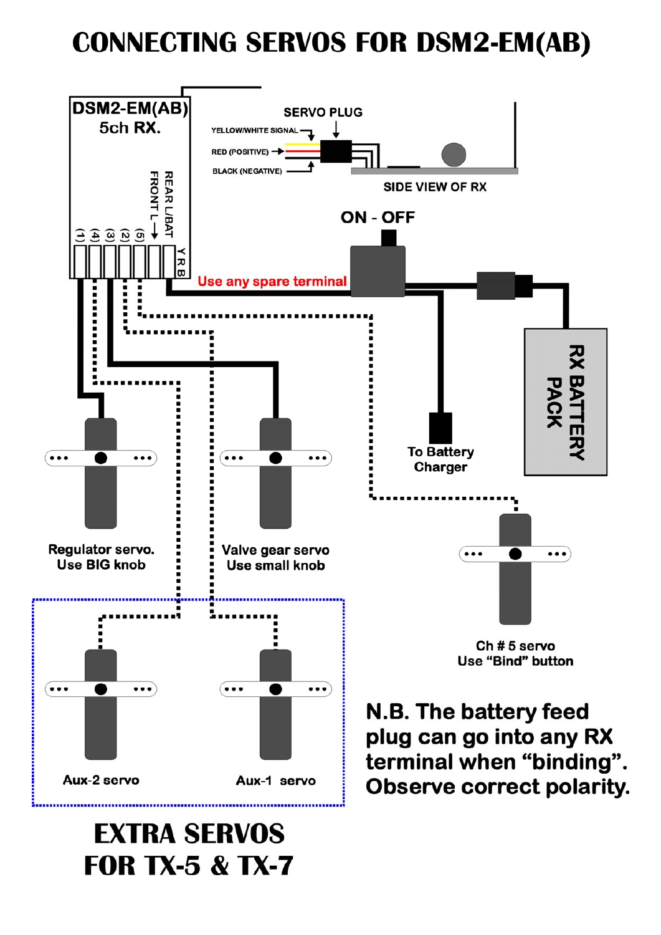# **CONNECTING SERVOS FOR DSM2-EM(AB)**



# **EXTRA SERVOS FOR TX-5 & TX-7**

**Observe correct polarity.**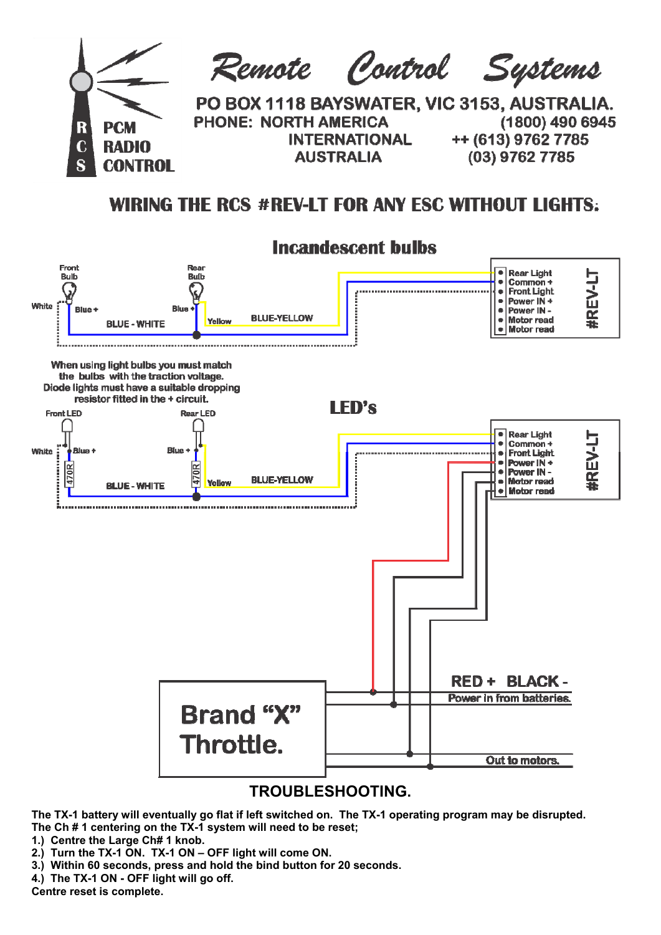

## **WIRING THE RCS #REV-IT FOR ANY FSC WITHOUT LIGHTS:**



**The TX-1 battery will eventually go flat if left switched on. The TX-1 operating program may be disrupted. The Ch # 1 centering on the TX-1 system will need to be reset;** 

- **1.) Centre the Large Ch# 1 knob.**
- **2.) Turn the TX-1 ON. TX-1 ON OFF light will come ON.**
- **3.) Within 60 seconds, press and hold the bind button for 20 seconds.**
- **4.) The TX-1 ON OFF light will go off.**

**Centre reset is complete.**